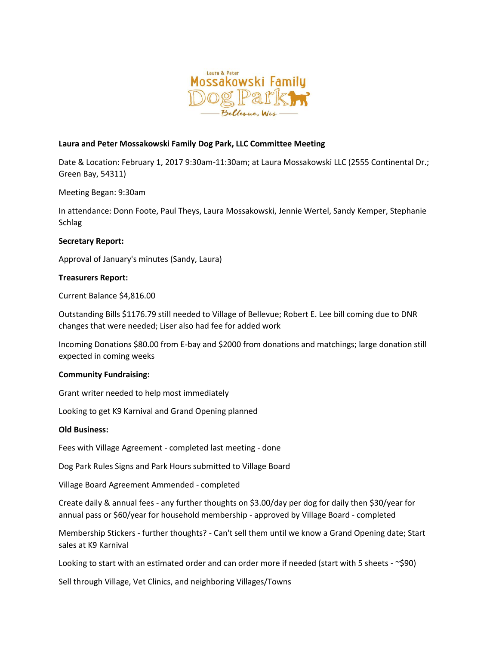

# **Laura and Peter Mossakowski Family Dog Park, LLC Committee Meeting**

Date & Location: February 1, 2017 9:30am-11:30am; at Laura Mossakowski LLC (2555 Continental Dr.; Green Bay, 54311)

Meeting Began: 9:30am

In attendance: Donn Foote, Paul Theys, Laura Mossakowski, Jennie Wertel, Sandy Kemper, Stephanie Schlag

## **Secretary Report:**

Approval of January's minutes (Sandy, Laura)

## **Treasurers Report:**

Current Balance \$4,816.00

Outstanding Bills \$1176.79 still needed to Village of Bellevue; Robert E. Lee bill coming due to DNR changes that were needed; Liser also had fee for added work

Incoming Donations \$80.00 from E-bay and \$2000 from donations and matchings; large donation still expected in coming weeks

#### **Community Fundraising:**

Grant writer needed to help most immediately

Looking to get K9 Karnival and Grand Opening planned

#### **Old Business:**

Fees with Village Agreement - completed last meeting - done

Dog Park Rules Signs and Park Hours submitted to Village Board

Village Board Agreement Ammended - completed

Create daily & annual fees - any further thoughts on \$3.00/day per dog for daily then \$30/year for annual pass or \$60/year for household membership - approved by Village Board - completed

Membership Stickers - further thoughts? - Can't sell them until we know a Grand Opening date; Start sales at K9 Karnival

Looking to start with an estimated order and can order more if needed (start with 5 sheets - ~\$90)

Sell through Village, Vet Clinics, and neighboring Villages/Towns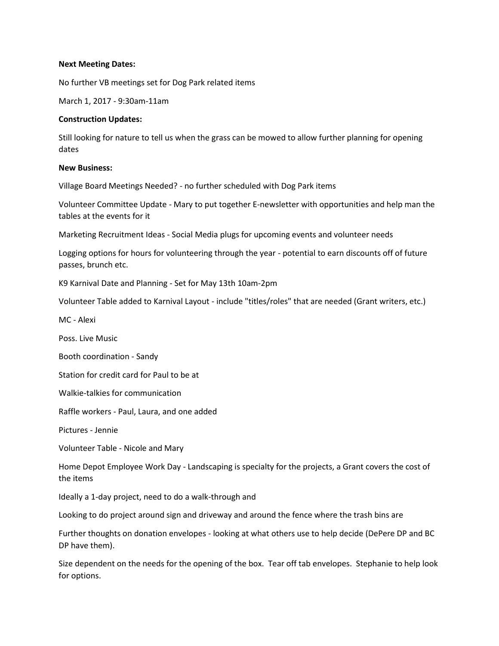### **Next Meeting Dates:**

No further VB meetings set for Dog Park related items

March 1, 2017 - 9:30am-11am

## **Construction Updates:**

Still looking for nature to tell us when the grass can be mowed to allow further planning for opening dates

## **New Business:**

Village Board Meetings Needed? - no further scheduled with Dog Park items

Volunteer Committee Update - Mary to put together E-newsletter with opportunities and help man the tables at the events for it

Marketing Recruitment Ideas - Social Media plugs for upcoming events and volunteer needs

Logging options for hours for volunteering through the year - potential to earn discounts off of future passes, brunch etc.

K9 Karnival Date and Planning - Set for May 13th 10am-2pm

Volunteer Table added to Karnival Layout - include "titles/roles" that are needed (Grant writers, etc.)

MC - Alexi

Poss. Live Music

Booth coordination - Sandy

Station for credit card for Paul to be at

Walkie-talkies for communication

Raffle workers - Paul, Laura, and one added

Pictures - Jennie

Volunteer Table - Nicole and Mary

Home Depot Employee Work Day - Landscaping is specialty for the projects, a Grant covers the cost of the items

Ideally a 1-day project, need to do a walk-through and

Looking to do project around sign and driveway and around the fence where the trash bins are

Further thoughts on donation envelopes - looking at what others use to help decide (DePere DP and BC DP have them).

Size dependent on the needs for the opening of the box. Tear off tab envelopes. Stephanie to help look for options.